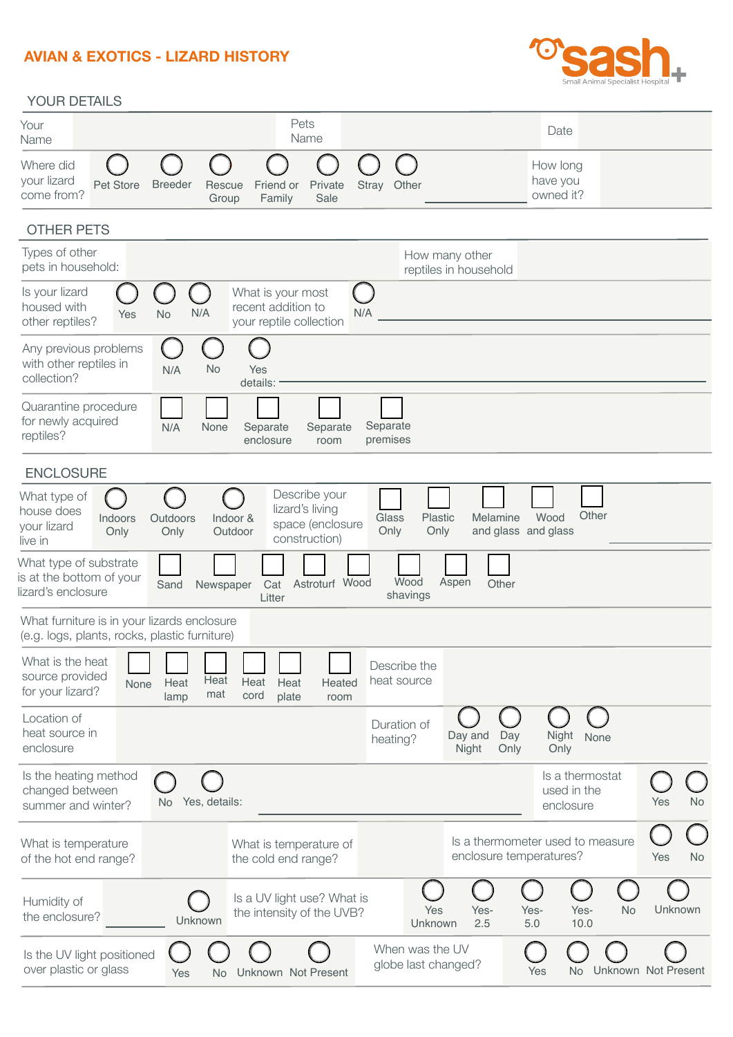## **AVIAN & EXOTICS - LIZARD HISTORY**



## YOUR DETAILS

| Your<br>Name                                                                                 | Pets<br>Name                                                                                 |                                                                     | Date                                                            |
|----------------------------------------------------------------------------------------------|----------------------------------------------------------------------------------------------|---------------------------------------------------------------------|-----------------------------------------------------------------|
| Where did<br>your lizard<br><b>Breeder</b><br>Pet Store<br>come from?                        | Friend or<br>Private<br>Rescue<br>Family<br>Sale<br>Group                                    | Stray<br>Other                                                      | How long<br>have you<br>owned it?                               |
| <b>OTHER PETS</b>                                                                            |                                                                                              |                                                                     |                                                                 |
| Types of other<br>pets in household:                                                         |                                                                                              | How many other<br>reptiles in household                             |                                                                 |
| Is your lizard<br>housed with<br>Yes<br><b>No</b><br>other reptiles?                         | What is your most<br>€<br>recent addition to<br>N/A<br>your reptile collection               | N/A                                                                 |                                                                 |
| Any previous problems<br>with other reptiles in<br>N/A<br>collection?                        | <b>No</b><br>Yes<br>details:                                                                 |                                                                     |                                                                 |
| Quarantine procedure<br>for newly acquired<br>N/A<br>reptiles?                               | None<br>Separate<br>Separate<br>enclosure<br>room                                            | Separate<br>premises                                                |                                                                 |
| <b>ENCLOSURE</b>                                                                             |                                                                                              |                                                                     |                                                                 |
| What type of<br>house does<br>Outdoors<br>Indoors<br>your lizard<br>Only<br>Only<br>live in  | Describe your<br>lizard's living<br>Indoor &<br>space (enclosure<br>Outdoor<br>construction) | Plastic<br>Melamine<br>Glass<br>Only<br>and glass and glass<br>Only | Other<br>Wood                                                   |
| What type of substrate<br>is at the bottom of your<br>Sand<br>lizard's enclosure             | Astroturf Wood<br>Cat<br>Newspaper<br>Litter                                                 | Wood<br>Aspen<br>Other<br>shavings                                  |                                                                 |
| What furniture is in your lizards enclosure<br>(e.g. logs, plants, rocks, plastic furniture) |                                                                                              |                                                                     |                                                                 |
| What is the heat<br>source provided<br>Heat<br>None<br>for your lizard?<br>lamp              | Heat<br>Heat<br>Heat<br>Heated<br>mat<br>cord<br>plate<br>room                               | Describe the<br>heat source                                         |                                                                 |
| Location of<br>heat source in<br>enclosure                                                   |                                                                                              | Duration of<br>Day and<br>Day<br>heating?<br>Night<br>Only          | Night<br>None<br>Only                                           |
| Is the heating method<br>changed between<br>No.<br>summer and winter?                        | Yes, details:                                                                                |                                                                     | Is a thermostat<br>used in the<br><b>No</b><br>Yes<br>enclosure |
| What is temperature<br>of the hot end range?                                                 | What is temperature of<br>the cold end range?                                                | enclosure temperatures?                                             | Is a thermometer used to measure<br><b>No</b><br>Yes            |
| Humidity of<br>the enclosure?                                                                | Is a UV light use? What is<br>the intensity of the UVB?<br>Unknown                           | Yes-<br>Yes-<br>Yes<br>2.5<br>5.0<br>Unknown                        | Unknown<br>Yes-<br><b>No</b><br>10.0                            |
| Is the UV light positioned<br>over plastic or glass                                          | Unknown Not Present<br>Yes<br><b>No</b>                                                      | When was the UV<br>globe last changed?                              | Unknown Not Present<br>Yes<br>No.                               |